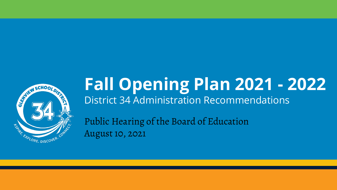

## **Fall Opening Plan 2021 - 2022** District 34 Administration Recommendations

Public Hearing of the Board of Education August 10, 2021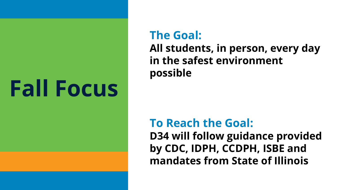# **Fall Focus**

#### **The Goal:**

**All students, in person, every day in the safest environment possible**

#### **To Reach the Goal:**

**D34 will follow guidance provided by CDC, IDPH, CCDPH, ISBE and mandates from State of Illinois**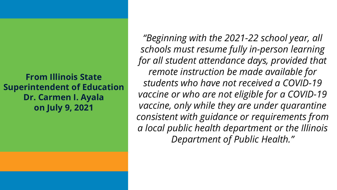**From Illinois State Superintendent of Education Dr. Carmen I. Ayala on July 9, 2021**

*"Beginning with the 2021-22 school year, all schools must resume fully in-person learning for all student attendance days, provided that remote instruction be made available for students who have not received a COVID-19 vaccine or who are not eligible for a COVID-19 vaccine, only while they are under quarantine consistent with guidance or requirements from a local public health department or the Illinois Department of Public Health."*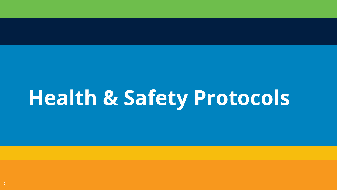# **Health & Safety Protocols**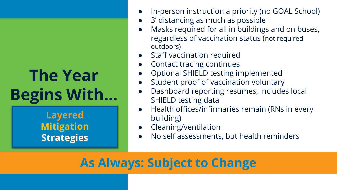## **The Year Begins With...**

**Layered Mitigation Strategies**

- In-person instruction a priority (no GOAL School)
- 3' distancing as much as possible
- Masks required for all in buildings and on buses, regardless of vaccination status (not required outdoors)
- **Staff vaccination required**
- Contact tracing continues
- Optional SHIELD testing implemented
- Student proof of vaccination voluntary
- Dashboard reporting resumes, includes local SHIELD testing data
- Health offices/infirmaries remain (RNs in every building)
- Cleaning/ventilation
- No self assessments, but health reminders

#### **As Always: Subject to Change**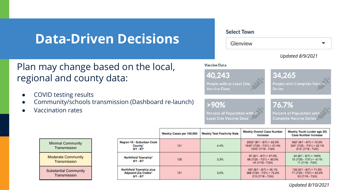#### **Data-Driven Decisions**

#### Plan may change based on the local, regional and county data:

- COVID testing results
- Community/schools transmission (Dashboard re-launch)
- Vaccination rates



|                                                                            | Weekly Cases per 100,000 | <b>Weekly Test Positivity Rate</b> | Weekly Overall Case Number<br>Increase                                                  | Weekly Youth (under age 20)<br><b>Case Number Increase</b>                               |
|----------------------------------------------------------------------------|--------------------------|------------------------------------|-----------------------------------------------------------------------------------------|------------------------------------------------------------------------------------------|
| Region 10 - Suburban Cook<br>County <sup>1</sup><br>$8/1 - 8/7$            | 101                      | 4.4%                               | $2500^2 (8/1 - 8/7) = 52.0\%$<br>$1645^{2}$ (7/25 - 7/31) = 57.4%<br>1045 (7/18 - 7/24) | $562^2 (8/1 - 8/7) = 73.5\%$<br>$324^{2}$ (7/25 - 7/31) = 52.1%<br>$213^2$ (7/18 - 7/24) |
| Northfield Township <sup>3</sup><br>$8/1 - 8/7$                            | 105                      | 3.3%                               | $97 (8/1 - 8/7) = 47.0\%$<br>$66(7/25 - 7/31) = 50.0%$<br>$44(7/18 - 7/24)$             | $24(8/1 - 8/7) = 140%$<br>$10(7/25 - 7/31) = -9.1%$<br>$11(7/18 - 7/24)$                 |
| Northfield Township plus<br>Adjacent Zip Codes <sup>4</sup><br>$8/1 - 8/7$ | 101                      | 3.5%                               | $497(8/1 - 8/7) = 35.1%$<br>$368(7/25 - 7/31) = 75.2%$<br>210 (7/18 - 7/24)             | $122(8/1 - 8/7) = 71.8%$<br>$71(7/25 - 7/31) = 42.0\%$<br>$50(7/18 - 7/24)$              |

**Transmission** Moderate Community **Transmission** 

Minimal Community

Substantial Community **Transmission** 

*Updated 8/10/2021*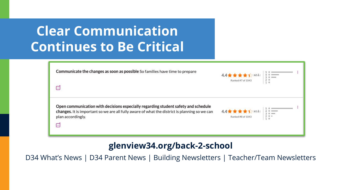## **Clear Communication Continues to Be Critical**

| Communicate the changes as soon as possible So families have time to prepare                                                                                                                    | 4.4★★★★1(62品)<br>Ranked #7 of 1043 |  |
|-------------------------------------------------------------------------------------------------------------------------------------------------------------------------------------------------|------------------------------------|--|
| $\cdots$<br>Open communication with decisions especially regarding student safety and schedule<br>changes. It is important so we are all fully aware of what the district is planning so we can | 4.4★★★★1(61品)                      |  |
| plan accordingly.<br>سا                                                                                                                                                                         | Ranked #8 of 1043                  |  |

#### **glenview34.org/back-2-school**

D34 What's News | D34 Parent News | Building Newsletters | Teacher/Team Newsletters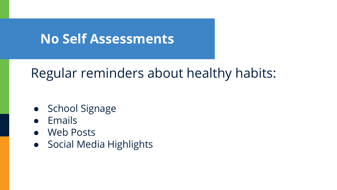#### **No Self Assessments**

## Regular reminders about healthy habits:

- School Signage
- Emails
- Web Posts
- Social Media Highlights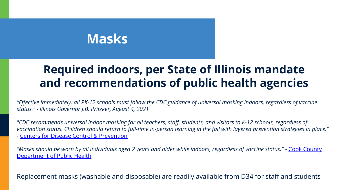#### **Masks**

#### **Required indoors, per State of Illinois mandate and recommendations of public health agencies**

*"Effective immediately, all PK-12 schools must follow the CDC guidance of universal masking indoors, regardless of vaccine status." - Illinois Governor J.B. Pritzker, August 4, 2021*

*"CDC recommends universal indoor masking for all teachers, staff, students, and visitors to K-12 schools, regardless of vaccination status. Children should return to full-time in-person learning in the fall with layered prevention strategies in place."* - [Centers for Disease Control & Prevention](https://www.cdc.gov/coronavirus/2019-ncov/community/schools-childcare/k-12-guidance.html)

*"Masks should be worn by all individuals aged 2 years and older while indoors, regardless of vaccine status."* - [Cook County](https://cookcountypublichealth.org/2021/07/23/cook-county-department-of-public-health-guidance-for-suburban-cook-county-school-districts/) [Department of Public Health](https://cookcountypublichealth.org/2021/07/23/cook-county-department-of-public-health-guidance-for-suburban-cook-county-school-districts/)

Replacement masks (washable and disposable) are readily available from D34 for staff and students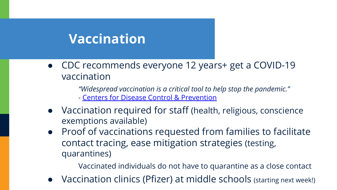#### **Vaccination**

● CDC recommends everyone 12 years+ get a COVID-19 vaccination

*"Widespread vaccination is a critical tool to help stop the pandemic."*

- [Centers for Disease Control & Prevention](https://www.cdc.gov/coronavirus/2019-ncov/vaccines/recommendations/adolescents.html)

- Vaccination required for staff (health, religious, conscience exemptions available)
- Proof of vaccinations requested from families to facilitate contact tracing, ease mitigation strategies (testing, quarantines)

Vaccinated individuals do not have to quarantine as a close contact

● Vaccination clinics (Pfizer) at middle schools (starting next week!)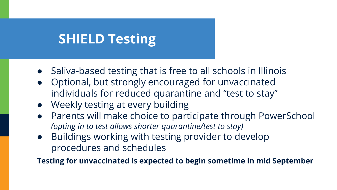## **SHIELD Testing**

- Saliva-based testing that is free to all schools in Illinois
- Optional, but strongly encouraged for unvaccinated individuals for reduced quarantine and "test to stay"
- Weekly testing at every building
- Parents will make choice to participate through PowerSchool *(opting in to test allows shorter quarantine/test to stay)*
- Buildings working with testing provider to develop procedures and schedules

**Testing for unvaccinated is expected to begin sometime in mid September**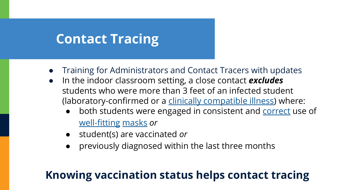## **Contact Tracing**

- Training for Administrators and Contact Tracers with updates
- In the indoor classroom setting, a close contact **excludes** students who were more than 3 feet of an infected student (laboratory-confirmed or a [clinically compatible illness](https://www.cdc.gov/coronavirus/2019-ncov/hcp/clinical-guidance-management-patients.html)) where:
	- both students were engaged in consistent and [correct](https://www.cdc.gov/coronavirus/2019-ncov/your-health/effective-masks.html) use of [well-fitting](https://www.cdc.gov/coronavirus/2019-ncov/prevent-getting-sick/mask-fit-and-filtration.html) [masks](https://www.cdc.gov/coronavirus/2019-ncov/community/schools-childcare/cloth-face-cover.html) *or*
	- student(s) are vaccinated *or*
	- previously diagnosed within the last three months

#### **Knowing vaccination status helps contact tracing**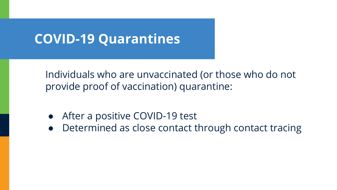#### **COVID-19 Quarantines**

Individuals who are unvaccinated (or those who do not provide proof of vaccination) quarantine:

- After a positive COVID-19 test
- Determined as close contact through contact tracing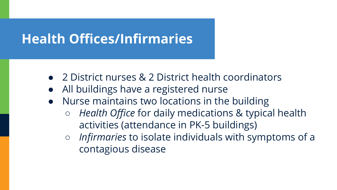## **Health Offices/Infirmaries**

- 2 District nurses & 2 District health coordinators
- All buildings have a registered nurse
- Nurse maintains two locations in the building
	- *Health Office* for daily medications & typical health activities (attendance in PK-5 buildings)
	- *○ Infirmaries* to isolate individuals with symptoms of a contagious disease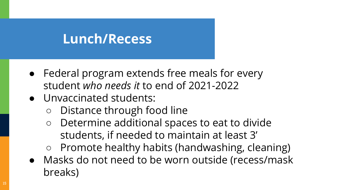#### **Lunch/Recess**

- Federal program extends free meals for every student *who needs it* to end of 2021-2022
- Unvaccinated students:
	- Distance through food line
	- Determine additional spaces to eat to divide students, if needed to maintain at least 3'
	- Promote healthy habits (handwashing, cleaning)
- Masks do not need to be worn outside (recess/mask breaks)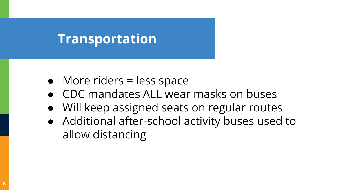#### **Transportation**

- More riders = less space
- CDC mandates ALL wear masks on buses
- Will keep assigned seats on regular routes
- Additional after-school activity buses used to allow distancing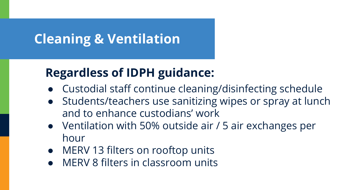## **Cleaning & Ventilation**

#### **Regardless of IDPH guidance:**

- Custodial staff continue cleaning/disinfecting schedule
- Students/teachers use sanitizing wipes or spray at lunch and to enhance custodians' work
- Ventilation with 50% outside air / 5 air exchanges per hour
- MERV 13 filters on rooftop units
- MERV 8 filters in classroom units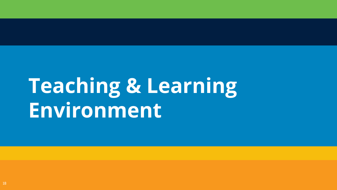# **Teaching & Learning Environment**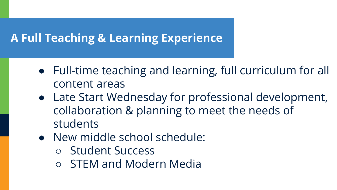#### **A Full Teaching & Learning Experience**

- Full-time teaching and learning, full curriculum for all content areas
- Late Start Wednesday for professional development, collaboration & planning to meet the needs of students
- New middle school schedule:
	- Student Success
	- STEM and Modern Media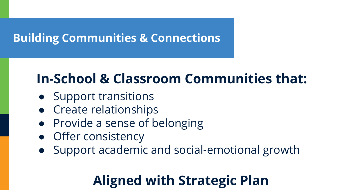#### **Building Communities & Connections**

## **In-School & Classroom Communities that:**

- Support transitions
- Create relationships
- Provide a sense of belonging
- Offer consistency
- Support academic and social-emotional growth

## **Aligned with Strategic Plan**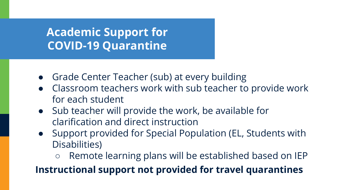#### **Academic Support for COVID-19 Quarantine**

- Grade Center Teacher (sub) at every building
- Classroom teachers work with sub teacher to provide work for each student
- Sub teacher will provide the work, be available for clarification and direct instruction
- Support provided for Special Population (EL, Students with Disabilities)
	- Remote learning plans will be established based on IEP

#### **Instructional support not provided for travel quarantines**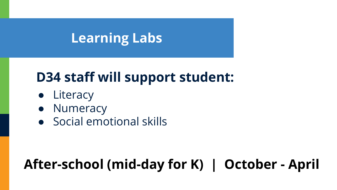#### **Learning Labs**

## **D34 staff will support student:**

- Literacy
- Numeracy
- Social emotional skills

## **After-school (mid-day for K) | October - April**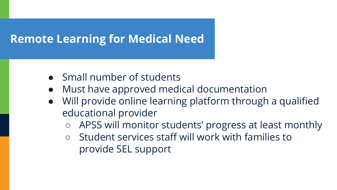#### **Remote Learning for Medical Need**

- Small number of students
- Must have approved medical documentation
- Will provide online learning platform through a qualified educational provider
	- APSS will monitor students' progress at least monthly
	- Student services staff will work with families to provide SEL support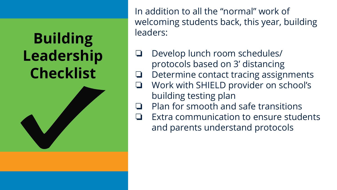## **Building Leadership Checklist**



In addition to all the "normal" work of welcoming students back, this year, building leaders:

- ❏ Develop lunch room schedules/ protocols based on 3' distancing
- ❏ Determine contact tracing assignments
- ❏ Work with SHIELD provider on school's building testing plan
- ❏ Plan for smooth and safe transitions
- ❏ Extra communication to ensure students and parents understand protocols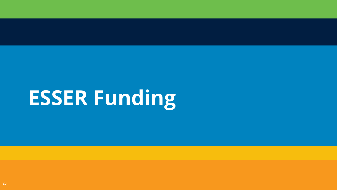# **ESSER Funding**